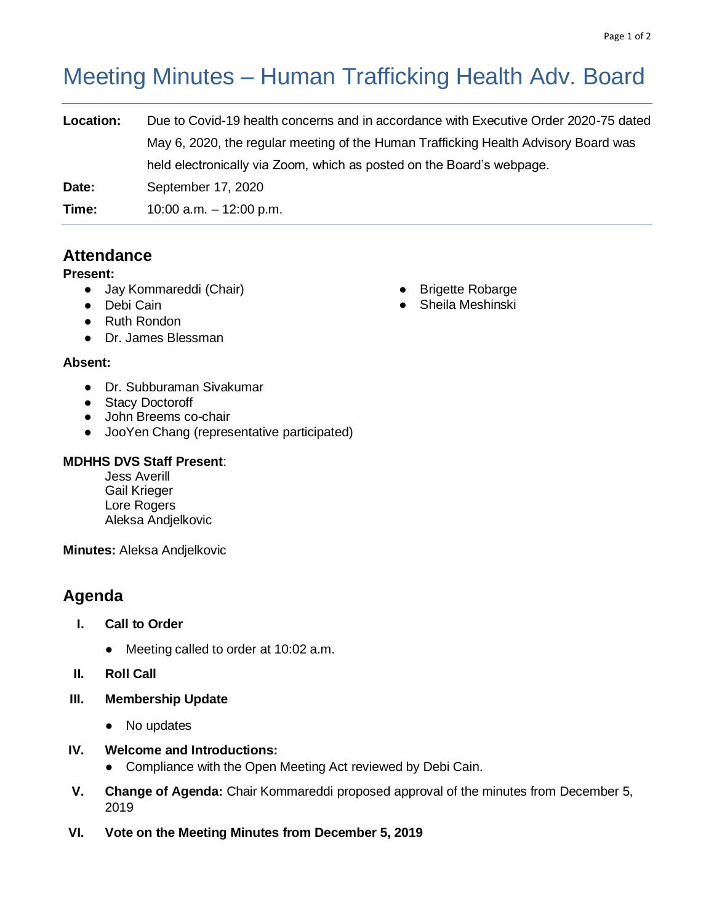# Meeting Minutes – Human Trafficking Health Adv. Board

| Location: | Due to Covid-19 health concerns and in accordance with Executive Order 2020-75 dated |
|-----------|--------------------------------------------------------------------------------------|
|           | May 6, 2020, the regular meeting of the Human Trafficking Health Advisory Board was  |
|           | held electronically via Zoom, which as posted on the Board's webpage.                |
| Date:     | September 17, 2020                                                                   |
| Time:     | 10:00 a.m. $-$ 12:00 p.m.                                                            |
|           |                                                                                      |

# **Attendance**

# **Present:**

- Jay Kommareddi (Chair)
- Debi Cain
- Ruth Rondon
- Dr. James Blessman

# **Absent:**

- Dr. Subburaman Sivakumar
- Stacy Doctoroff
- John Breems co-chair
- JooYen Chang (representative participated)

# **MDHHS DVS Staff Present**:

Jess Averill Gail Krieger Lore Rogers Aleksa Andjelkovic

**Minutes:** Aleksa Andjelkovic

# **Agenda**

- **I. Call to Order**
	- Meeting called to order at 10:02 a.m.
- **II. Roll Call**
- **III. Membership Update**
	- No updates
- **IV. Welcome and Introductions:** 
	- Compliance with the Open Meeting Act reviewed by Debi Cain.
- **V. Change of Agenda:** Chair Kommareddi proposed approval of the minutes from December 5, 2019
- **VI. Vote on the Meeting Minutes from December 5, 2019**
- Brigette Robarge
- Sheila Meshinski